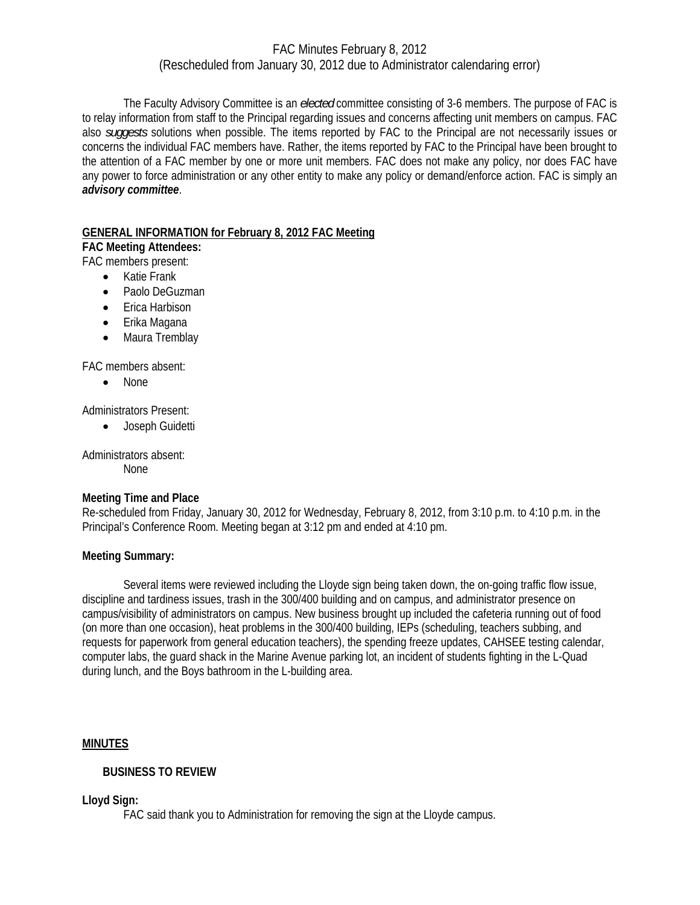The Faculty Advisory Committee is an *elected* committee consisting of 3-6 members. The purpose of FAC is to relay information from staff to the Principal regarding issues and concerns affecting unit members on campus. FAC also *suggests* solutions when possible. The items reported by FAC to the Principal are not necessarily issues or concerns the individual FAC members have. Rather, the items reported by FAC to the Principal have been brought to the attention of a FAC member by one or more unit members. FAC does not make any policy, nor does FAC have any power to force administration or any other entity to make any policy or demand/enforce action. FAC is simply an *advisory committee*.

### **GENERAL INFORMATION for February 8, 2012 FAC Meeting**

### **FAC Meeting Attendees:**

- FAC members present:
	- Katie Frank
	- Paolo DeGuzman
	- Erica Harbison
	- Erika Magana
	- Maura Tremblay

FAC members absent:

• None

Administrators Present:

• Joseph Guidetti

Administrators absent: None

# **Meeting Time and Place**

Re-scheduled from Friday, January 30, 2012 for Wednesday, February 8, 2012, from 3:10 p.m. to 4:10 p.m. in the Principal's Conference Room. Meeting began at 3:12 pm and ended at 4:10 pm.

# **Meeting Summary:**

Several items were reviewed including the Lloyde sign being taken down, the on-going traffic flow issue, discipline and tardiness issues, trash in the 300/400 building and on campus, and administrator presence on campus/visibility of administrators on campus. New business brought up included the cafeteria running out of food (on more than one occasion), heat problems in the 300/400 building, IEPs (scheduling, teachers subbing, and requests for paperwork from general education teachers), the spending freeze updates, CAHSEE testing calendar, computer labs, the guard shack in the Marine Avenue parking lot, an incident of students fighting in the L-Quad during lunch, and the Boys bathroom in the L-building area.

# **MINUTES**

# **BUSINESS TO REVIEW**

**Lloyd Sign:** 

FAC said thank you to Administration for removing the sign at the Lloyde campus.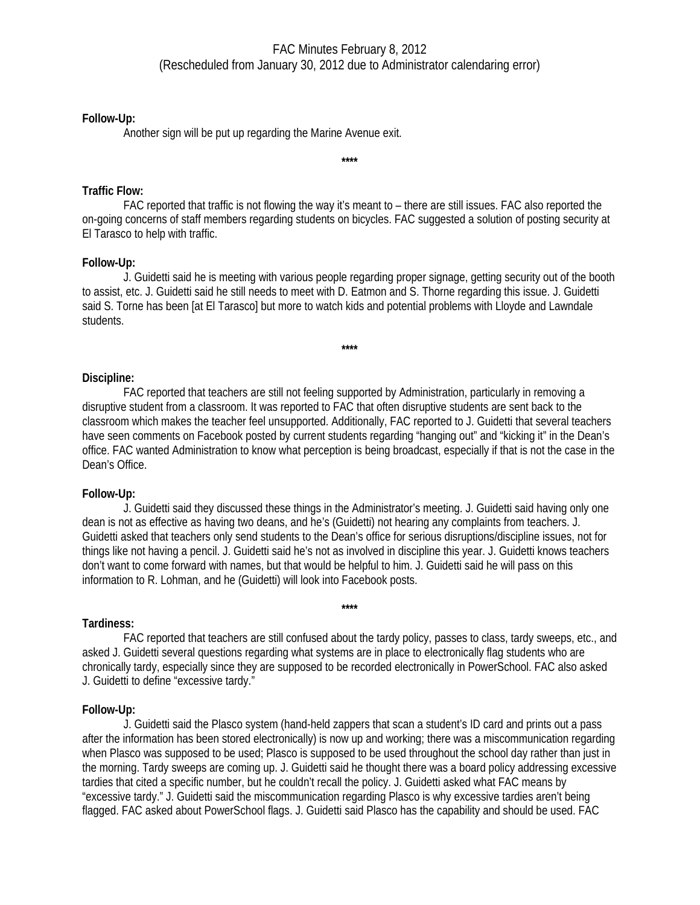### **Follow-Up:**

Another sign will be put up regarding the Marine Avenue exit.

### **Traffic Flow:**

 FAC reported that traffic is not flowing the way it's meant to – there are still issues. FAC also reported the on-going concerns of staff members regarding students on bicycles. FAC suggested a solution of posting security at El Tarasco to help with traffic.

**\*\*\*\*** 

### **Follow-Up:**

J. Guidetti said he is meeting with various people regarding proper signage, getting security out of the booth to assist, etc. J. Guidetti said he still needs to meet with D. Eatmon and S. Thorne regarding this issue. J. Guidetti said S. Torne has been [at El Tarasco] but more to watch kids and potential problems with Lloyde and Lawndale students.

**\*\*\*\*** 

**Discipline:** 

FAC reported that teachers are still not feeling supported by Administration, particularly in removing a disruptive student from a classroom. It was reported to FAC that often disruptive students are sent back to the classroom which makes the teacher feel unsupported. Additionally, FAC reported to J. Guidetti that several teachers have seen comments on Facebook posted by current students regarding "hanging out" and "kicking it" in the Dean's office. FAC wanted Administration to know what perception is being broadcast, especially if that is not the case in the Dean's Office.

### **Follow-Up:**

J. Guidetti said they discussed these things in the Administrator's meeting. J. Guidetti said having only one dean is not as effective as having two deans, and he's (Guidetti) not hearing any complaints from teachers. J. Guidetti asked that teachers only send students to the Dean's office for serious disruptions/discipline issues, not for things like not having a pencil. J. Guidetti said he's not as involved in discipline this year. J. Guidetti knows teachers don't want to come forward with names, but that would be helpful to him. J. Guidetti said he will pass on this information to R. Lohman, and he (Guidetti) will look into Facebook posts.

# **Tardiness:**

 FAC reported that teachers are still confused about the tardy policy, passes to class, tardy sweeps, etc., and asked J. Guidetti several questions regarding what systems are in place to electronically flag students who are chronically tardy, especially since they are supposed to be recorded electronically in PowerSchool. FAC also asked J. Guidetti to define "excessive tardy."

**\*\*\*\*** 

### **Follow-Up:**

J. Guidetti said the Plasco system (hand-held zappers that scan a student's ID card and prints out a pass after the information has been stored electronically) is now up and working; there was a miscommunication regarding when Plasco was supposed to be used; Plasco is supposed to be used throughout the school day rather than just in the morning. Tardy sweeps are coming up. J. Guidetti said he thought there was a board policy addressing excessive tardies that cited a specific number, but he couldn't recall the policy. J. Guidetti asked what FAC means by "excessive tardy." J. Guidetti said the miscommunication regarding Plasco is why excessive tardies aren't being flagged. FAC asked about PowerSchool flags. J. Guidetti said Plasco has the capability and should be used. FAC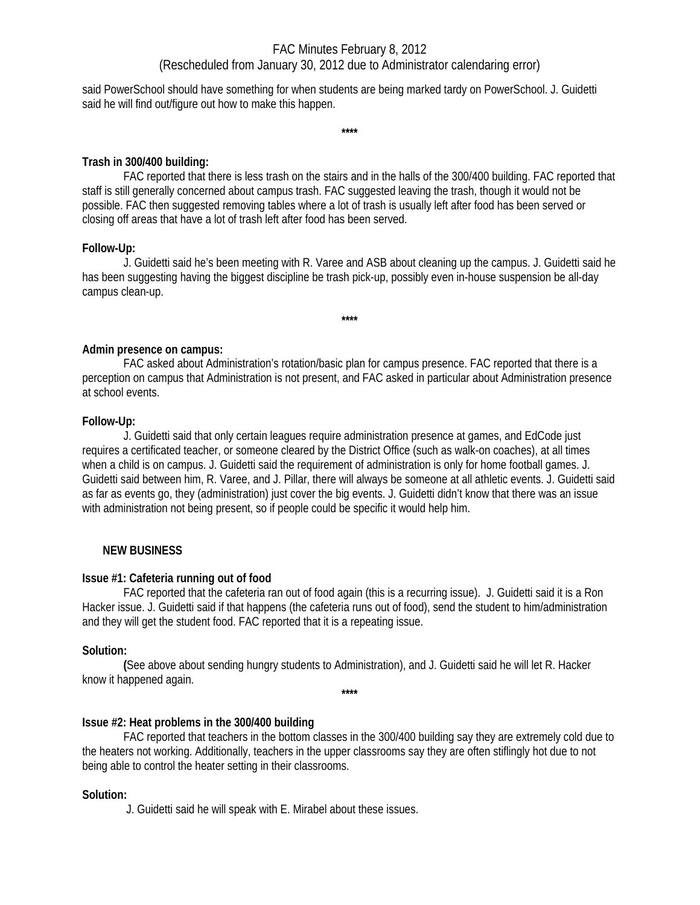said PowerSchool should have something for when students are being marked tardy on PowerSchool. J. Guidetti said he will find out/figure out how to make this happen.

**\*\*\*\*** 

### **Trash in 300/400 building:**

 FAC reported that there is less trash on the stairs and in the halls of the 300/400 building. FAC reported that staff is still generally concerned about campus trash. FAC suggested leaving the trash, though it would not be possible. FAC then suggested removing tables where a lot of trash is usually left after food has been served or closing off areas that have a lot of trash left after food has been served.

### **Follow-Up:**

J. Guidetti said he's been meeting with R. Varee and ASB about cleaning up the campus. J. Guidetti said he has been suggesting having the biggest discipline be trash pick-up, possibly even in-house suspension be all-day campus clean-up.

**\*\*\*\*** 

# **Admin presence on campus:**

FAC asked about Administration's rotation/basic plan for campus presence. FAC reported that there is a perception on campus that Administration is not present, and FAC asked in particular about Administration presence at school events.

### **Follow-Up:**

 J. Guidetti said that only certain leagues require administration presence at games, and EdCode just requires a certificated teacher, or someone cleared by the District Office (such as walk-on coaches), at all times when a child is on campus. J. Guidetti said the requirement of administration is only for home football games. J. Guidetti said between him, R. Varee, and J. Pillar, there will always be someone at all athletic events. J. Guidetti said as far as events go, they (administration) just cover the big events. J. Guidetti didn't know that there was an issue with administration not being present, so if people could be specific it would help him.

# **NEW BUSINESS**

### **Issue #1: Cafeteria running out of food**

FAC reported that the cafeteria ran out of food again (this is a recurring issue). J. Guidetti said it is a Ron Hacker issue. J. Guidetti said if that happens (the cafeteria runs out of food), send the student to him/administration and they will get the student food. FAC reported that it is a repeating issue.

### **Solution:**

 **(**See above about sending hungry students to Administration), and J. Guidetti said he will let R. Hacker know it happened again.

**\*\*\*\*** 

# **Issue #2: Heat problems in the 300/400 building**

 FAC reported that teachers in the bottom classes in the 300/400 building say they are extremely cold due to the heaters not working. Additionally, teachers in the upper classrooms say they are often stiflingly hot due to not being able to control the heater setting in their classrooms.

### **Solution:**

J. Guidetti said he will speak with E. Mirabel about these issues.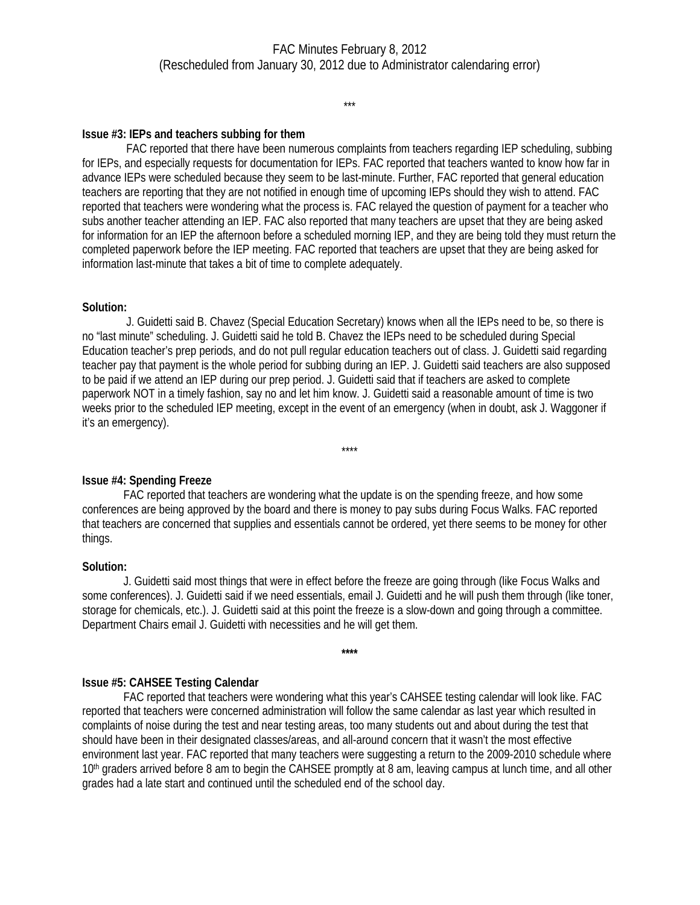\*\*\*

### **Issue #3: IEPs and teachers subbing for them**

 FAC reported that there have been numerous complaints from teachers regarding IEP scheduling, subbing for IEPs, and especially requests for documentation for IEPs. FAC reported that teachers wanted to know how far in advance IEPs were scheduled because they seem to be last-minute. Further, FAC reported that general education teachers are reporting that they are not notified in enough time of upcoming IEPs should they wish to attend. FAC reported that teachers were wondering what the process is. FAC relayed the question of payment for a teacher who subs another teacher attending an IEP. FAC also reported that many teachers are upset that they are being asked for information for an IEP the afternoon before a scheduled morning IEP, and they are being told they must return the completed paperwork before the IEP meeting. FAC reported that teachers are upset that they are being asked for information last-minute that takes a bit of time to complete adequately.

### **Solution:**

 J. Guidetti said B. Chavez (Special Education Secretary) knows when all the IEPs need to be, so there is no "last minute" scheduling. J. Guidetti said he told B. Chavez the IEPs need to be scheduled during Special Education teacher's prep periods, and do not pull regular education teachers out of class. J. Guidetti said regarding teacher pay that payment is the whole period for subbing during an IEP. J. Guidetti said teachers are also supposed to be paid if we attend an IEP during our prep period. J. Guidetti said that if teachers are asked to complete paperwork NOT in a timely fashion, say no and let him know. J. Guidetti said a reasonable amount of time is two weeks prior to the scheduled IEP meeting, except in the event of an emergency (when in doubt, ask J. Waggoner if it's an emergency).

\*\*\*\*

**Issue #4: Spending Freeze**

FAC reported that teachers are wondering what the update is on the spending freeze, and how some conferences are being approved by the board and there is money to pay subs during Focus Walks. FAC reported that teachers are concerned that supplies and essentials cannot be ordered, yet there seems to be money for other things.

### **Solution:**

J. Guidetti said most things that were in effect before the freeze are going through (like Focus Walks and some conferences). J. Guidetti said if we need essentials, email J. Guidetti and he will push them through (like toner, storage for chemicals, etc.). J. Guidetti said at this point the freeze is a slow-down and going through a committee. Department Chairs email J. Guidetti with necessities and he will get them.

**\*\*\*\*** 

# **Issue #5: CAHSEE Testing Calendar**

 FAC reported that teachers were wondering what this year's CAHSEE testing calendar will look like. FAC reported that teachers were concerned administration will follow the same calendar as last year which resulted in complaints of noise during the test and near testing areas, too many students out and about during the test that should have been in their designated classes/areas, and all-around concern that it wasn't the most effective environment last year. FAC reported that many teachers were suggesting a return to the 2009-2010 schedule where 10<sup>th</sup> graders arrived before 8 am to begin the CAHSEE promptly at 8 am, leaving campus at lunch time, and all other grades had a late start and continued until the scheduled end of the school day.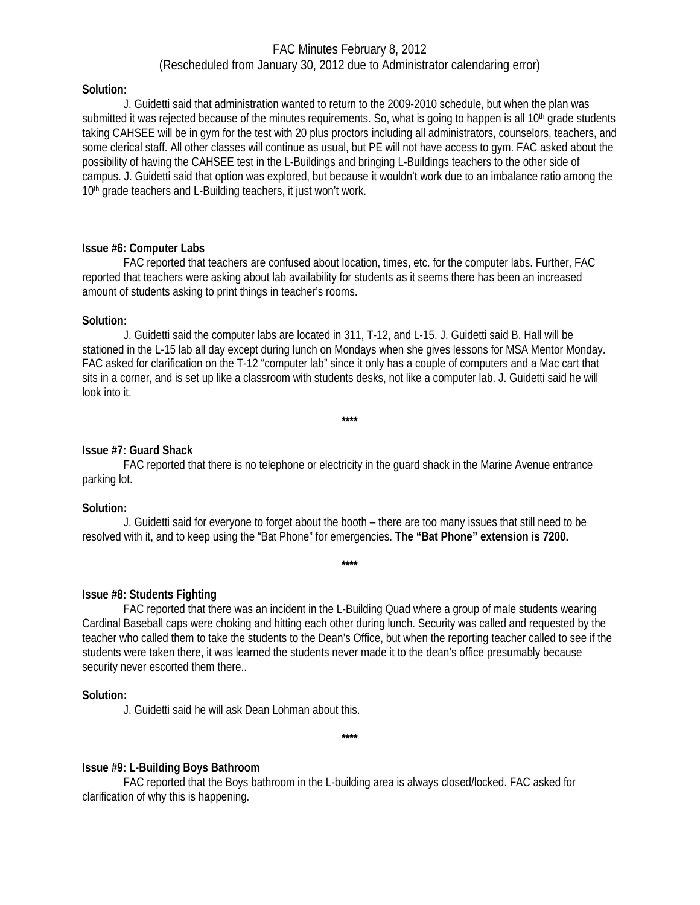#### **Solution:**

J. Guidetti said that administration wanted to return to the 2009-2010 schedule, but when the plan was submitted it was rejected because of the minutes requirements. So, what is going to happen is all  $10<sup>th</sup>$  grade students taking CAHSEE will be in gym for the test with 20 plus proctors including all administrators, counselors, teachers, and some clerical staff. All other classes will continue as usual, but PE will not have access to gym. FAC asked about the possibility of having the CAHSEE test in the L-Buildings and bringing L-Buildings teachers to the other side of campus. J. Guidetti said that option was explored, but because it wouldn't work due to an imbalance ratio among the 10<sup>th</sup> grade teachers and L-Building teachers, it just won't work.

### **Issue #6: Computer Labs**

FAC reported that teachers are confused about location, times, etc. for the computer labs. Further, FAC reported that teachers were asking about lab availability for students as it seems there has been an increased amount of students asking to print things in teacher's rooms.

#### **Solution:**

J. Guidetti said the computer labs are located in 311, T-12, and L-15. J. Guidetti said B. Hall will be stationed in the L-15 lab all day except during lunch on Mondays when she gives lessons for MSA Mentor Monday. FAC asked for clarification on the T-12 "computer lab" since it only has a couple of computers and a Mac cart that sits in a corner, and is set up like a classroom with students desks, not like a computer lab. J. Guidetti said he will look into it.

**\*\*\*\*** 

#### **Issue #7: Guard Shack**

FAC reported that there is no telephone or electricity in the guard shack in the Marine Avenue entrance parking lot.

#### **Solution:**

J. Guidetti said for everyone to forget about the booth – there are too many issues that still need to be resolved with it, and to keep using the "Bat Phone" for emergencies. **The "Bat Phone" extension is 7200.** 

**\*\*\*\*** 

### **Issue #8: Students Fighting**

FAC reported that there was an incident in the L-Building Quad where a group of male students wearing Cardinal Baseball caps were choking and hitting each other during lunch. Security was called and requested by the teacher who called them to take the students to the Dean's Office, but when the reporting teacher called to see if the students were taken there, it was learned the students never made it to the dean's office presumably because security never escorted them there..

#### **Solution:**

J. Guidetti said he will ask Dean Lohman about this.

**\*\*\*\*** 

### **Issue #9: L-Building Boys Bathroom**

FAC reported that the Boys bathroom in the L-building area is always closed/locked. FAC asked for clarification of why this is happening.